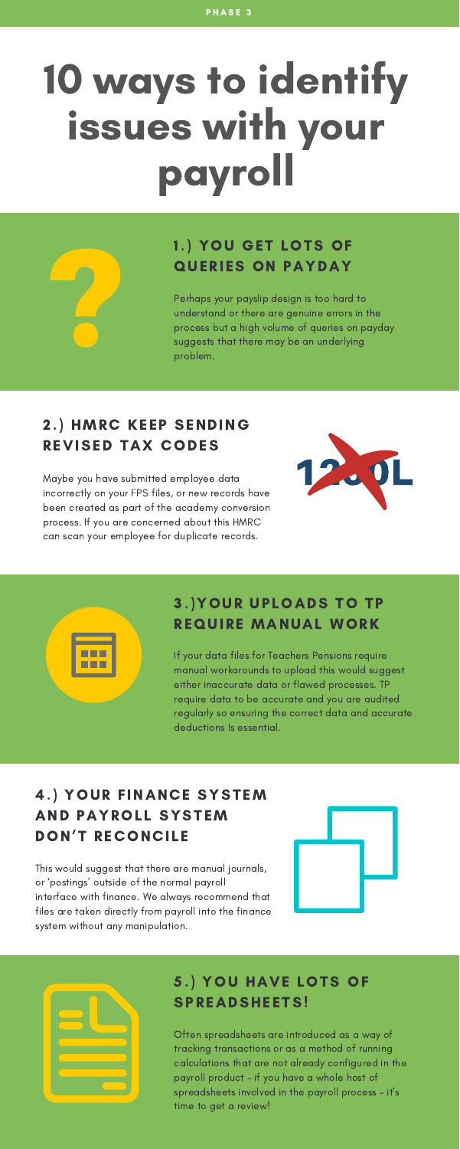# 10 ways to identify issues with your payroll

# 1.) YOU GET LOTS OF QUERIES ON PAYDAY

### 2.) HMRC KEEP SENDING REVISED TAX CODES

Perhaps your payslip design is too hard to understand or there are genuine errors in the process but a high volume of queries on payday suggests that there may be an underlying problem.

Maybe you have submitted employee data incorrectly on your FPS files, or new records have been created as part of the academy conversion process. If you are concerned about this HMRC can scan your employee for duplicate records.

## 3.)YOUR UPLOADS TO TP REQUIRE MANUAL WORK

#### 5.) YOU HAVE LOTS OF SPREADSHEETS!

If your data files for Teachers Pensions require manual workarounds to upload this would suggest either inaccurate data or flawed processes. TP

require data to be accurate and you are audited regularly so ensuring the correct data and accurate deductions Is essential.

# 4.) YOUR FINANCE SYSTEM AND PAYROLL SYSTEM DON'T RECONCILE

This would suggest that there are manual journals, or 'postings' outside of the normal payroll interface with finance. We always recommend that files are taken directly from payroll into the finance system without any manipulation.





Often spreadsheets are introduced as a way of tracking transactions or as a method of running calculations that are not already configured in the payroll product – if you have a whole host of spreadsheets involved in the payroll process – it's time to get a review!